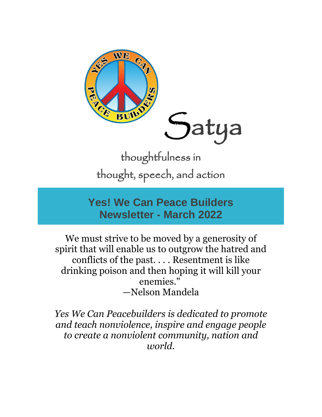

thoughtfulness in thought, speech, and action

## **Yes! We Can Peace Builders Newsletter - March 2022**

We must strive to be moved by a generosity of spirit that will enable us to outgrow the hatred and conflicts of the past. . . . Resentment is like drinking poison and then hoping it will kill your enemies." —Nelson Mandela

*Yes We Can Peacebuilders is dedicated to promote and teach nonviolence, inspire and engage people to create a nonviolent community, nation and world.*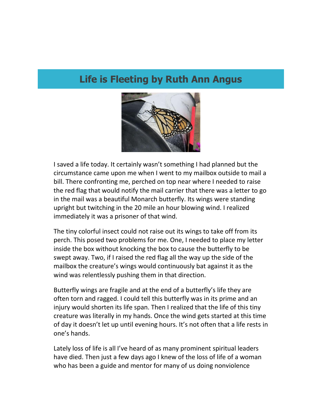## **Life is Fleeting by Ruth Ann Angus**



I saved a life today. It certainly wasn't something I had planned but the circumstance came upon me when I went to my mailbox outside to mail a bill. There confronting me, perched on top near where I needed to raise the red flag that would notify the mail carrier that there was a letter to go in the mail was a beautiful Monarch butterfly. Its wings were standing upright but twitching in the 20 mile an hour blowing wind. I realized immediately it was a prisoner of that wind.

The tiny colorful insect could not raise out its wings to take off from its perch. This posed two problems for me. One, I needed to place my letter inside the box without knocking the box to cause the butterfly to be swept away. Two, if I raised the red flag all the way up the side of the mailbox the creature's wings would continuously bat against it as the wind was relentlessly pushing them in that direction.

Butterfly wings are fragile and at the end of a butterfly's life they are often torn and ragged. I could tell this butterfly was in its prime and an injury would shorten its life span. Then I realized that the life of this tiny creature was literally in my hands. Once the wind gets started at this time of day it doesn't let up until evening hours. It's not often that a life rests in one's hands.

Lately loss of life is all I've heard of as many prominent spiritual leaders have died. Then just a few days ago I knew of the loss of life of a woman who has been a guide and mentor for many of us doing nonviolence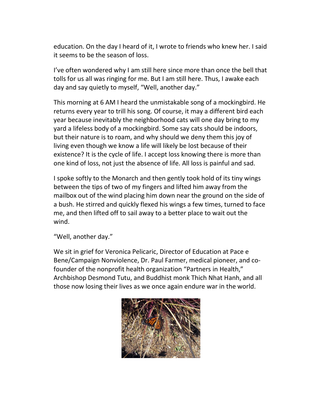education. On the day I heard of it, I wrote to friends who knew her. I said it seems to be the season of loss.

I've often wondered why I am still here since more than once the bell that tolls for us all was ringing for me. But I am still here. Thus, I awake each day and say quietly to myself, "Well, another day."

This morning at 6 AM I heard the unmistakable song of a mockingbird. He returns every year to trill his song. Of course, it may a different bird each year because inevitably the neighborhood cats will one day bring to my yard a lifeless body of a mockingbird. Some say cats should be indoors, but their nature is to roam, and why should we deny them this joy of living even though we know a life will likely be lost because of their existence? It is the cycle of life. I accept loss knowing there is more than one kind of loss, not just the absence of life. All loss is painful and sad.

I spoke softly to the Monarch and then gently took hold of its tiny wings between the tips of two of my fingers and lifted him away from the mailbox out of the wind placing him down near the ground on the side of a bush. He stirred and quickly flexed his wings a few times, turned to face me, and then lifted off to sail away to a better place to wait out the wind.

"Well, another day."

We sit in grief for Veronica Pelicaric, Director of Education at Pace e Bene/Campaign Nonviolence, Dr. Paul Farmer, medical pioneer, and cofounder of the nonprofit health organization "Partners in Health," Archbishop Desmond Tutu, and Buddhist monk Thich Nhat Hanh, and all those now losing their lives as we once again endure war in the world.

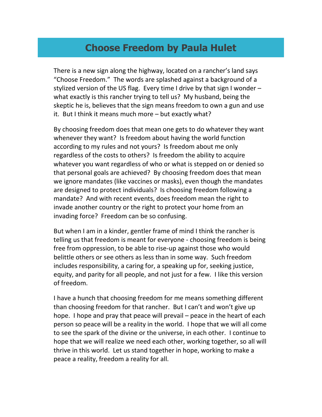## **Choose Freedom by Paula Hulet**

There is a new sign along the highway, located on a rancher's land says "Choose Freedom." The words are splashed against a background of a stylized version of the US flag. Every time I drive by that sign I wonder – what exactly is this rancher trying to tell us? My husband, being the skeptic he is, believes that the sign means freedom to own a gun and use it. But I think it means much more – but exactly what?

By choosing freedom does that mean one gets to do whatever they want whenever they want? Is freedom about having the world function according to my rules and not yours? Is freedom about me only regardless of the costs to others? Is freedom the ability to acquire whatever you want regardless of who or what is stepped on or denied so that personal goals are achieved? By choosing freedom does that mean we ignore mandates (like vaccines or masks), even though the mandates are designed to protect individuals? Is choosing freedom following a mandate? And with recent events, does freedom mean the right to invade another country or the right to protect your home from an invading force? Freedom can be so confusing.

But when I am in a kinder, gentler frame of mind I think the rancher is telling us that freedom is meant for everyone - choosing freedom is being free from oppression, to be able to rise-up against those who would belittle others or see others as less than in some way. Such freedom includes responsibility, a caring for, a speaking up for, seeking justice, equity, and parity for all people, and not just for a few. I like this version of freedom.

I have a hunch that choosing freedom for me means something different than choosing freedom for that rancher. But I can't and won't give up hope. I hope and pray that peace will prevail – peace in the heart of each person so peace will be a reality in the world. I hope that we will all come to see the spark of the divine or the universe, in each other. I continue to hope that we will realize we need each other, working together, so all will thrive in this world. Let us stand together in hope, working to make a peace a reality, freedom a reality for all.